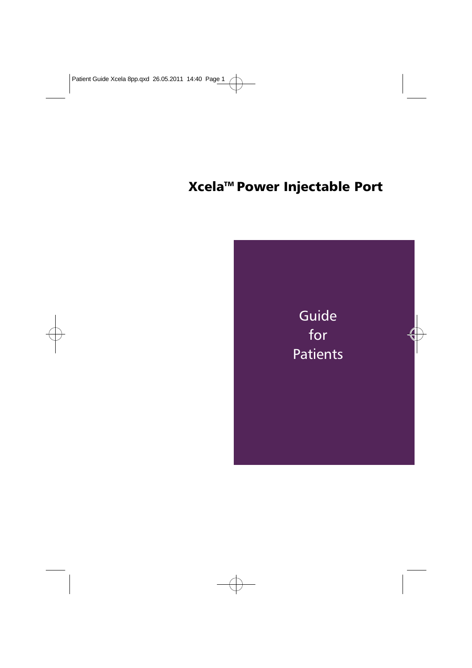Patient Guide Xcela 8pp.qxd 26.05.2011 14:40 Page 1

# Xcela<sup>™</sup> Power Injectable Port

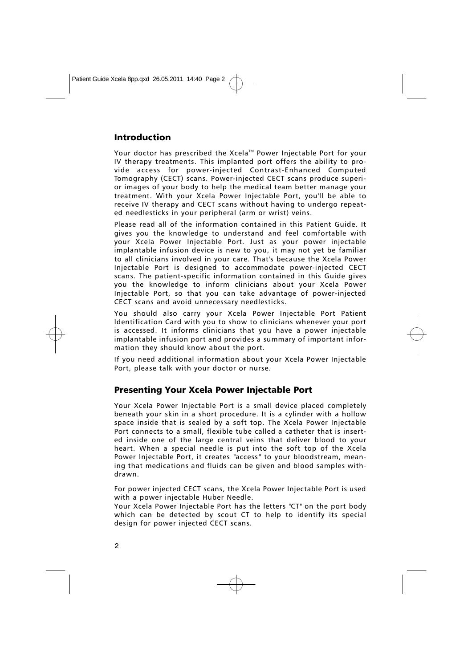## Introduction

Your doctor has prescribed the Xcela™ Power Injectable Port for your IV therapy treatments. This implanted port offers the ability to provide access for power-injected Contrast-Enhanced Computed Tomography (CECT) scans. Power-injected CECT scans produce superior images of your body to help the medical team better manage your treatment. With your Xcela Power Injectable Port, you'll be able to receive IV therapy and CECT scans without having to undergo repeated needlesticks in your peripheral (arm or wrist) veins.

Please read all of the information contained in this Patient Guide. It gives you the knowledge to understand and feel comfortable with your Xcela Power Injectable Port. Just as your power injectable implantable infusion device is new to you, it may not yet be familiar to all clinicians involved in your care. That's because the Xcela Power Injectable Port is designed to accommodate power-injected CECT scans. The patient-specific information contained in this Guide gives you the knowledge to inform clinicians about your Xcela Power Injectable Port, so that you can take advantage of power-injected CECT scans and avoid unnecessary needlesticks.

You should also carry your Xcela Power Injectable Port Patient Identification Card with you to show to clinicians whenever your port is accessed. It informs clinicians that you have a power injectable implantable infusion port and provides a summary of important information they should know about the port.

If you need additional information about your Xcela Power Injectable Port, please talk with your doctor or nurse.

#### Presenting Your Xcela Power Injectable Port

Your Xcela Power Injectable Port is a small device placed completely beneath your skin in a short procedure. It is a cylinder with a hollow space inside that is sealed by a soft top. The Xcela Power Injectable Port connects to a small, flexible tube called a catheter that is inserted inside one of the large central veins that deliver blood to your heart. When a special needle is put into the soft top of the Xcela Power Injectable Port, it creates "access " to your bloodstream, meaning that medications and fluids can be given and blood samples withdrawn.

For power injected CECT scans, the Xcela Power Injectable Port is used with a power injectable Huber Needle.

Your Xcela Power Injectable Port has the letters "CT" on the port body which can be detected by scout CT to help to identify its special design for power injected CECT scans.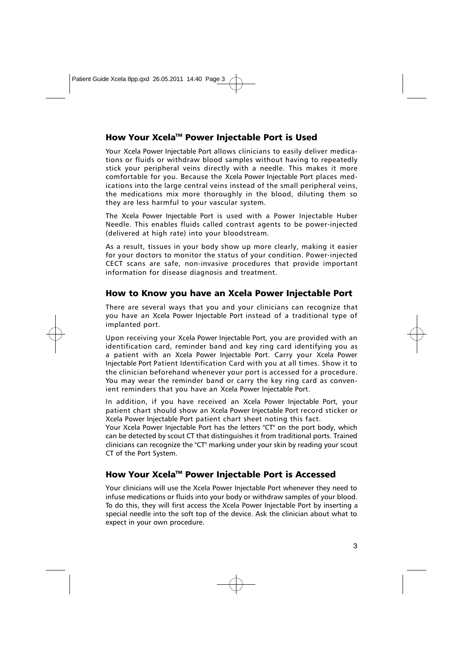## How Your Xcela™ Power Injectable Port is Used

Your Xcela Power Injectable Port allows clinicians to easily deliver medications or fluids or withdraw blood samples without having to repeatedly stick your peripheral veins directly with a needle. This makes it more comfortable for you. Because the Xcela Power Injectable Port places medications into the large central veins instead of the small peripheral veins, the medications mix more thoroughly in the blood, diluting them so they are less harmful to your vascular system.

The Xcela Power Injectable Port is used with a Power Injectable Huber Needle. This enables fluids called contrast agents to be power-injected (delivered at high rate) into your bloodstream.

As a result, tissues in your body show up more clearly, making it easier for your doctors to monitor the status of your condition. Power-injected CECT scans are safe, non-invasive procedures that provide important information for disease diagnosis and treatment.

#### How to Know you have an Xcela Power Injectable Port

There are several ways that you and your clinicians can recognize that you have an Xcela Power Injectable Port instead of a traditional type of implanted port.

Upon receiving your Xcela Power Injectable Port, you are provided with an identification card, reminder band and key ring card identifying you as a patient with an Xcela Power Injectable Port. Carry your Xcela Power Injectable Port Patient Identification Card with you at all times. Show it to the clinician beforehand whenever your port is accessed for a procedure. You may wear the reminder band or carry the key ring card as convenient reminders that you have an Xcela Power Injectable Port.

In addition, if you have received an Xcela Power Injectable Port, your patient chart should show an Xcela Power Injectable Port record sticker or Xcela Power Injectable Port patient chart sheet noting this fact.

Your Xcela Power Injectable Port has the letters "CT" on the port body, which can be detected by scout CT that distinguishes it from traditional ports. Trained clinicians can recognize the "CT" marking under your skin by reading your scout CT of the Port System.

## How Your Xcela™ Power Injectable Port is Accessed

Your clinicians will use the Xcela Power Injectable Port whenever they need to infuse medications or fluids into your body or withdraw samples of your blood. To do this, they will first access the Xcela Power Injectable Port by inserting a special needle into the soft top of the device. Ask the clinician about what to expect in your own procedure.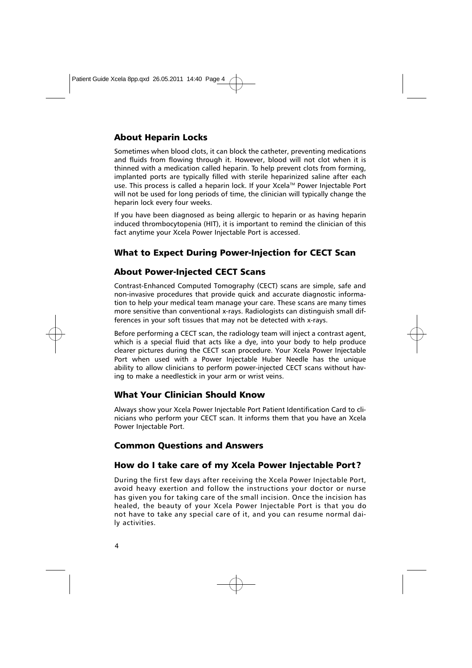## About Heparin Locks

Sometimes when blood clots, it can block the catheter, preventing medications and fluids from flowing through it. However, blood will not clot when it is thinned with a medication called heparin. To help prevent clots from forming, implanted ports are typically filled with sterile heparinized saline after each use. This process is called a heparin lock. If your Xcela™ Power Injectable Port will not be used for long periods of time, the clinician will typically change the heparin lock every four weeks.

If you have been diagnosed as being allergic to heparin or as having heparin induced thrombocytopenia (HIT), it is important to remind the clinician of this fact anytime your Xcela Power Injectable Port is accessed.

#### What to Expect During Power-Injection for CECT Scan

#### About Power-Injected CECT Scans

Contrast-Enhanced Computed Tomography (CECT) scans are simple, safe and non-invasive procedures that provide quick and accurate diagnostic information to help your medical team manage your care. These scans are many times more sensitive than conventional x-rays. Radiologists can distinguish small differences in your soft tissues that may not be detected with x-rays.

Before performing a CECT scan, the radiology team will inject a contrast agent, which is a special fluid that acts like a dye, into your body to help produce clearer pictures during the CECT scan procedure. Your Xcela Power Injectable Port when used with a Power Injectable Huber Needle has the unique ability to allow clinicians to perform power-injected CECT scans without having to make a needlestick in your arm or wrist veins.

## What Your Clinician Should Know

Always show your Xcela Power Injectable Port Patient Identification Card to clinicians who perform your CECT scan. It informs them that you have an Xcela Power Injectable Port.

## Common Questions and Answers

## How do I take care of my Xcela Power Injectable Port?

During the first few days after receiving the Xcela Power Injectable Port, avoid heavy exertion and follow the instructions your doctor or nurse has given you for taking care of the small incision. Once the incision has healed, the beauty of your Xcela Power Injectable Port is that you do not have to take any special care of it, and you can resume normal daily activities.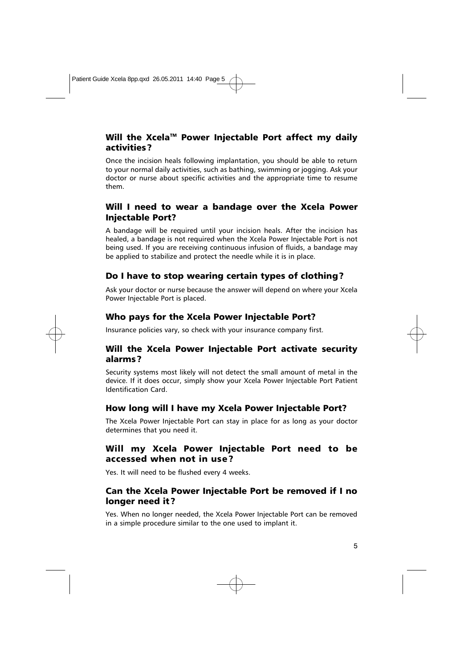# Will the Xcela<sup>™</sup> Power Injectable Port affect my daily activities?

Once the incision heals following implantation, you should be able to return to your normal daily activities, such as bathing, swimming or jogging. Ask your doctor or nurse about specific activities and the appropriate time to resume them.

# Will I need to wear a bandage over the Xcela Power Injectable Port?

A bandage will be required until your incision heals. After the incision has healed, a bandage is not required when the Xcela Power Injectable Port is not being used. If you are receiving continuous infusion of fluids, a bandage may be applied to stabilize and protect the needle while it is in place.

## Do I have to stop wearing certain types of clothing?

Ask your doctor or nurse because the answer will depend on where your Xcela Power Injectable Port is placed.

## Who pays for the Xcela Power Injectable Port?

Insurance policies vary, so check with your insurance company first.

## Will the Xcela Power Injectable Port activate security alarms?

Security systems most likely will not detect the small amount of metal in the device. If it does occur, simply show your Xcela Power Injectable Port Patient Identification Card.

#### How long will I have my Xcela Power Injectable Port?

The Xcela Power Injectable Port can stay in place for as long as your doctor determines that you need it.

# Will my Xcela Power Injectable Port need to be accessed when not in use?

Yes. It will need to be flushed every 4 weeks.

## Can the Xcela Power Injectable Port be removed if I no longer need it?

Yes. When no longer needed, the Xcela Power Injectable Port can be removed in a simple procedure similar to the one used to implant it.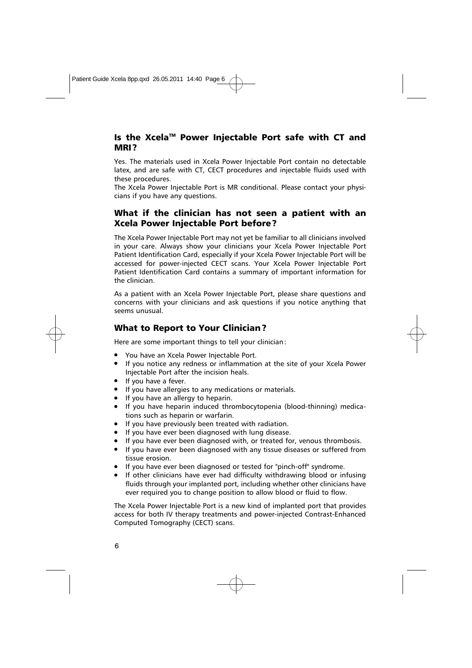## Is the Xcela<sup>™</sup> Power Injectable Port safe with CT and MRI?

Yes. The materials used in Xcela Power Injectable Port contain no detectable latex, and are safe with CT, CECT procedures and injectable fluids used with these procedures.

The Xcela Power Injectable Port is MR conditional. Please contact your physicians if you have any questions.

## What if the clinician has not seen a patient with an Xcela Power Injectable Port before?

The Xcela Power Injectable Port may not yet be familiar to all clinicians involved in your care. Always show your clinicians your Xcela Power Injectable Port Patient Identification Card, especially if your Xcela Power Injectable Port will be accessed for power-injected CECT scans. Your Xcela Power Injectable Port Patient Identification Card contains a summary of important information for the clinician.

As a patient with an Xcela Power Injectable Port, please share questions and concerns with your clinicians and ask questions if you notice anything that seems unusual.

## What to Report to Your Clinician?

Here are some important things to tell your clinician:

- You have an Xcela Power Injectable Port.
- If you notice any redness or inflammation at the site of your Xcela Power Injectable Port after the incision heals.
- If you have a fever.
- If you have allergies to any medications or materials.
- If you have an allergy to heparin.
- If you have heparin induced thrombocytopenia (blood-thinning) medications such as heparin or warfarin.
- If you have previously been treated with radiation.
- If you have ever been diagnosed with lung disease.
- If you have ever been diagnosed with, or treated for, venous thrombosis.
- If you have ever been diagnosed with any tissue diseases or suffered from tissue erosion.
- If you have ever been diagnosed or tested for "pinch-off" syndrome.
- If other clinicians have ever had difficulty withdrawing blood or infusing fluids through your implanted port, including whether other clinicians have ever required you to change position to allow blood or fluid to flow.

The Xcela Power Injectable Port is a new kind of implanted port that provides access for both IV therapy treatments and power-injected Contrast-Enhanced Computed Tomography (CECT) scans.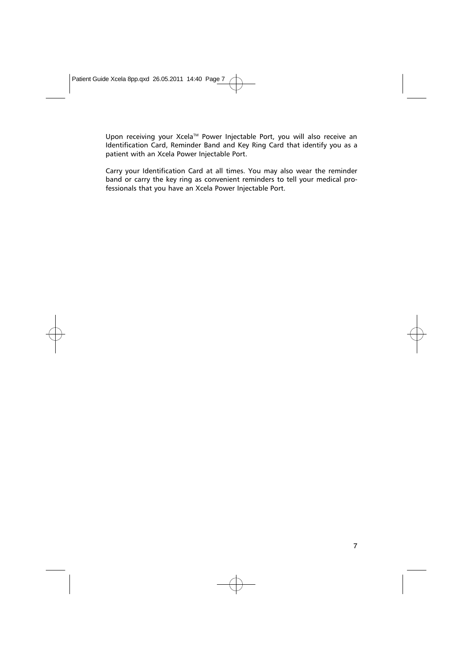Patient Guide Xcela 8pp.qxd 26.05.2011 14:40 Page 7

Upon receiving your Xcela™ Power Injectable Port, you will also receive an Identification Card, Reminder Band and Key Ring Card that identify you as a patient with an Xcela Power Injectable Port.

Carry your Identification Card at all times. You may also wear the reminder band or carry the key ring as convenient reminders to tell your medical professionals that you have an Xcela Power Injectable Port.

7